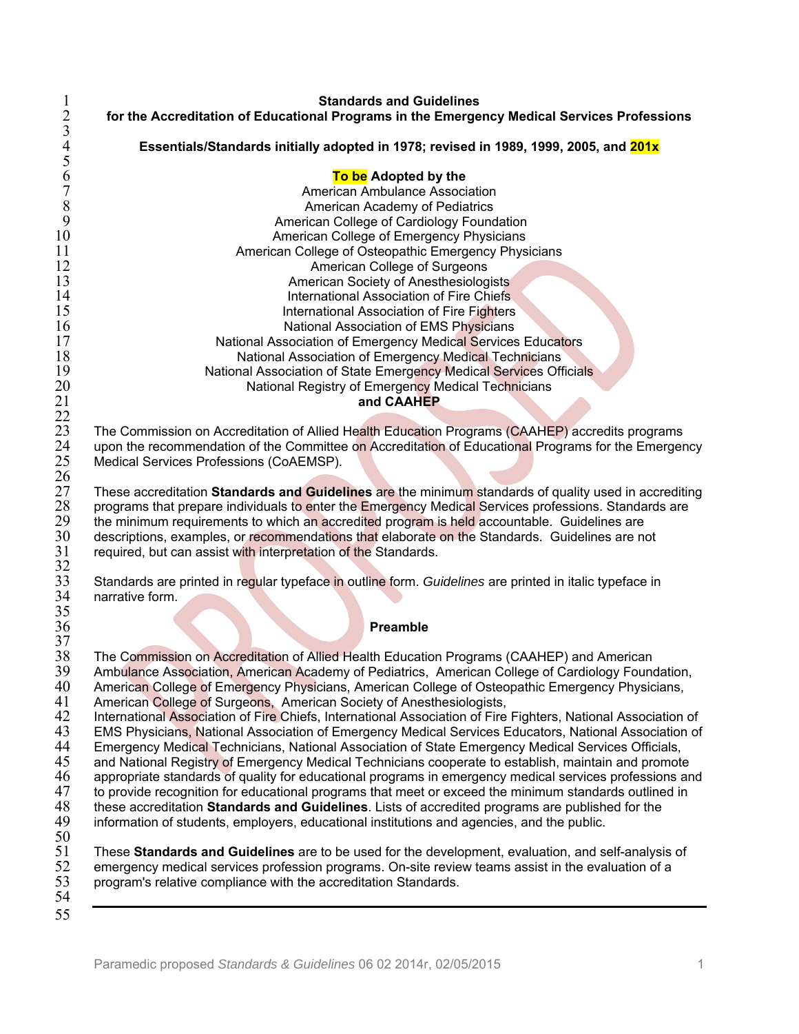1 **Standards and Guidelines**  2 **for the Accreditation of Educational Programs in the Emergency Medical Services Professions**  4 **Essentials/Standards initially adopted in 1978; revised in 1989, 1999, 2005, and 201x To be Adopted by the** 7 American Ambulance Association<br>8 American Academy of Pediatrics<br>9 American College of Cardiology Found American Academy of Pediatrics 9 **American College of Cardiology Foundation**<br>10 **American College of Emergency Physicians** 10 **American College of Emergency Physicians**<br>11 **American College of Osteopathic Emergency Phys** 11 **American College of Osteopathic Emergency Physicians**<br>12 **American College of Surgeons** 12 **American College of Surgeons**<br>13 **American Society of Anesthesiolog** 13 **American Society of Anesthesiologists**<br>14 **American Society of Anesthesiologists**<br>14 **American Society of Fire Chiefs** 14 **14** International Association of Fire Chiefs<br>15 International Association of Fire Fighters 15 **15** International Association of Fire Fighters<br>16 **International Association of EMS Physicians** 16 **16** National Association of EMS Physicians<br>National Association of Emergency Medical Services 17 **17** National Association of Emergency Medical Services Educators<br>18 **National Association of Emergency Medical Technicians** 18 **18** National Association of Emergency Medical Technicians<br>19 National Association of State Emergency Medical Services Off 19 **National Association of State Emergency Medical Services Officials**<br>20 **National Registry of Emergency Medical Technicians** 20 **National Registry of Emergency Medical Technicians**<br>21 **and CAAHEP** and **CAAHEP** 23 The Commission on Accreditation of Allied Health Education Programs (CAAHEP) accredits programs<br>24 Upon the recommendation of the Committee on Accreditation of Educational Programs for the Emerger 24 upon the recommendation of the Committee on Accreditation of Educational Programs for the Emergency<br>25 Medical Services Professions (CoAEMSP). Medical Services Professions (CoAEMSP). 27 These accreditation **Standards and Guidelines** are the minimum standards of quality used in accrediting 28 programs that prepare individuals to enter the Emergency Medical Services professions. Standards are 29 the minimum requirements to which an accredited program is held accountable. Guidelines are 29 the minimum requirements to which an accredited program is held accountable. Guidelines are no<br>30 descriptions, examples, or recommendations that elaborate on the Standards. Guidelines are no 30 descriptions, examples, or recommendations that elaborate on the Standards. Guidelines are not 31 required, but can assist with interpretation of the Standards. required, but can assist with interpretation of the Standards. 33 Standards are printed in regular typeface in outline form. *Guidelines* are printed in italic typeface in narrative form. 36 **Preamble**  38 The Commission on Accreditation of Allied Health Education Programs (CAAHEP) and American<br>39 Ambulance Association, American Academy of Pediatrics. American College of Cardiology Foun 39 Ambulance Association, American Academy of Pediatrics, American College of Cardiology Foundation,<br>40 American College of Emergency Physicians, American College of Osteopathic Emergency Physicians, 40 American College of Emergency Physicians, American College of Osteopathic Emergency Physicians,<br>41 American College of Surgeons, American Society of Anesthesiologists, 41 American College of Surgeons, American Society of Anesthesiologists,<br>42 International Association of Fire Chiefs, International Association of Fire 42 International Association of Fire Chiefs, International Association of Fire Fighters, National Association of<br>43 EMS Physicians, National Association of Emergency Medical Services Educators, National Association of 43 EMS Physicians, National Association of Emergency Medical Services Educators, National Association of 44 Emergency Medical Technicians, National Association of 44 Emergency Medical Technicians, National Association of State Emergency Medical Services Officials,<br>45 and National Registry of Emergency Medical Technicians cooperate to establish, maintain and promote 45 and National Registry of Emergency Medical Technicians cooperate to establish, maintain and promote<br>46 appropriate standards of quality for educational programs in emergency medical services professions are 46 appropriate standards of quality for educational programs in emergency medical services professions and<br>47 to provide recognition for educational programs that meet or exceed the minimum standards outlined in 47 to provide recognition for educational programs that meet or exceed the minimum standards outlined in 48 these accreditation **Standards and Guidelines**. Lists of accredited programs are published for the 48 these accreditation **Standards and Guidelines**. Lists of accredited programs are published for the information of students, employers, educational institutions and agencies, and the public. 51 These **Standards and Guidelines** are to be used for the development, evaluation, and self-analysis of 52 emergency medical services profession programs. On-site review teams assist in the evaluation of a<br>53 program's relative compliance with the accreditation Standards. program's relative compliance with the accreditation Standards. 55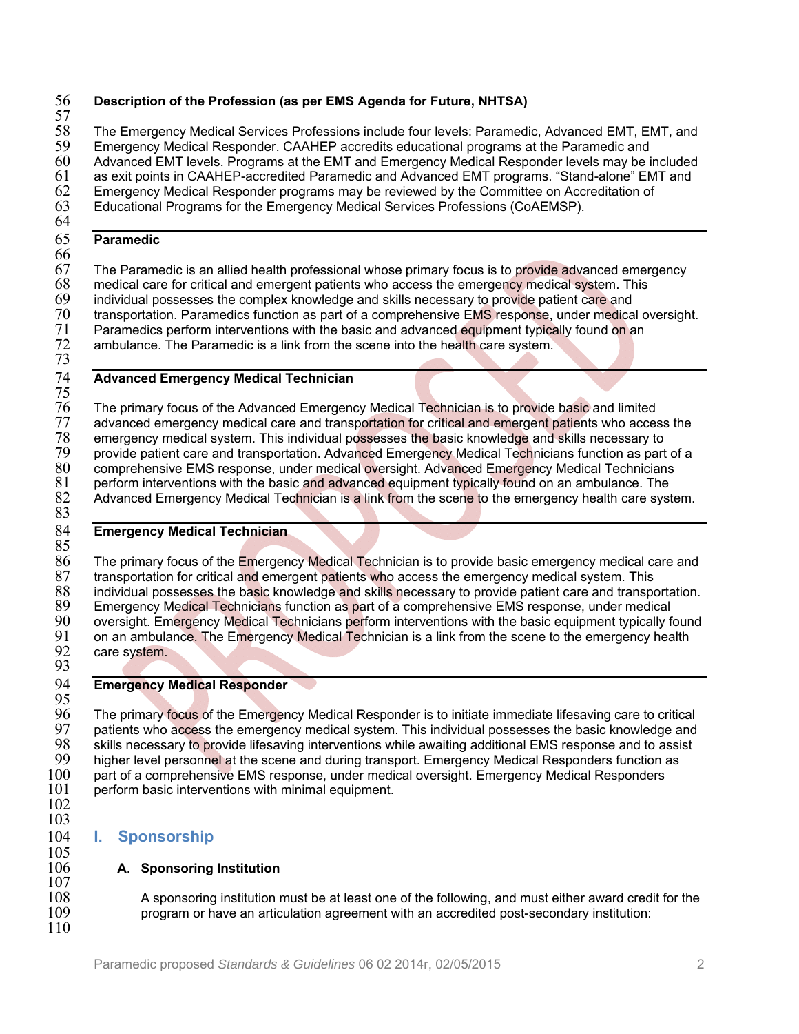# 56 **Description of the Profession (as per EMS Agenda for Future, NHTSA)**

57<br>58 58 The Emergency Medical Services Professions include four levels: Paramedic, Advanced EMT, EMT, and 59<br>59 Emergency Medical Responder, CAAHEP accredits educational programs at the Paramedic and 59 Emergency Medical Responder. CAAHEP accredits educational programs at the Paramedic and<br>60 Advanced EMT levels. Programs at the EMT and Emergency Medical Responder levels may be i 60 Advanced EMT levels. Programs at the EMT and Emergency Medical Responder levels may be included

61 as exit points in CAAHEP-accredited Paramedic and Advanced EMT programs. "Stand-alone" EMT and 62<br>62 Emergency Medical Responder programs may be reviewed by the Committee on Accreditation of 62 Emergency Medical Responder programs may be reviewed by the Committee on Accreditation of 63 Educational Programs for the Emergency Medical Services Professions (CoAEMSP).

Educational Programs for the Emergency Medical Services Professions (CoAEMSP). 64

# 65 **Paramedic**

# 66<br>67

67 The Paramedic is an allied health professional whose primary focus is to provide advanced emergency 68 medical care for critical and emergent patients who access the emergency medical system. This medical care for critical and emergent patients who access the emergency medical system. This 69 individual possesses the complex knowledge and skills necessary to provide patient care and<br>70 transportation. Paramedics function as part of a comprehensive EMS response, under medica 70 transportation. Paramedics function as part of a comprehensive EMS response, under medical oversight.<br>71 Paramedics perform interventions with the basic and advanced equipment typically found on an Paramedics perform interventions with the basic and advanced equipment typically found on an ambulance. The Paramedic is a link from the scene into the health care system.

 $rac{72}{73}$ 

# 74 **Advanced Emergency Medical Technician**

 $rac{75}{76}$ 76 The primary focus of the Advanced Emergency Medical Technician is to provide basic and limited<br>77 advanced emergency medical care and transportation for critical and emergent patients who acces 77 advanced emergency medical care and transportation for critical and emergent patients who access the <br>78 emergency medical system. This individual possesses the basic knowledge and skills necessary to 78 emergency medical system. This individual possesses the basic knowledge and skills necessary to<br>79 provide patient care and transportation. Advanced Emergency Medical Technicians function as part 79 provide patient care and transportation. Advanced Emergency Medical Technicians function as part of a<br>80 comprehensive EMS response, under medical oversight. Advanced Emergency Medical Technicians 80 comprehensive EMS response, under medical oversight. Advanced Emergency Medical Technicians<br>81 perform interventions with the basic and advanced equipment typically found on an ambulance. The 81 perform interventions with the basic and advanced equipment typically found on an ambulance. The 82 Advanced Emergency Medical Technician is a link from the scene to the emergency health care syst Advanced Emergency Medical Technician is a link from the scene to the emergency health care system. 83

# 84 **Emergency Medical Technician**

85<br>86 86 The primary focus of the Emergency Medical Technician is to provide basic emergency medical care and 87 transportation for critical and emergent patients who access the emergency medical system. This 87 transportation for critical and emergent patients who access the emergency medical system. This<br>88 individual possesses the basic knowledge and skills necessary to provide patient care and transpo 88 individual possesses the basic knowledge and skills necessary to provide patient care and transportation.<br>89 Emergency Medical Technicians function as part of a comprehensive EMS response, under medical 89 Emergency Medical Technicians function as part of a comprehensive EMS response, under medical<br>90 oversight, Emergency Medical Technicians perform interventions with the basic equipment typically f 90 oversight. Emergency Medical Technicians perform interventions with the basic equipment typically found<br>91 on an ambulance. The Emergency Medical Technician is a link from the scene to the emergency health 91 on an ambulance. The Emergency Medical Technician is a link from the scene to the emergency health 92 care system. care system.

93

# 94 **Emergency Medical Responder**

95<br>96 96 The primary focus of the Emergency Medical Responder is to initiate immediate lifesaving care to critical<br>97 patients who access the emergency medical system. This individual possesses the basic knowledge and 97 patients who access the emergency medical system. This individual possesses the basic knowledge and<br>98 skills necessary to provide lifesaving interventions while awaiting additional EMS response and to assist 98 skills necessary to provide lifesaving interventions while awaiting additional EMS response and to assist 99 higher level personnel at the scene and during transport. Emergency Medical Responders function as<br>100 part of a comprehensive EMS response, under medical oversight. Emergency Medical Responders 100 part of a comprehensive EMS response, under medical oversight. Emergency Medical Responders 101<br>101 perform basic interventions with minimal equipment. perform basic interventions with minimal equipment.

102 103

 $\frac{105}{106}$ 

 $\frac{107}{108}$ 

110

# 104 **I. Sponsorship**

# **A. Sponsoring Institution**

108 A sponsoring institution must be at least one of the following, and must either award credit for the 109 program or have an articulation agreement with an accredited post-secondary institution: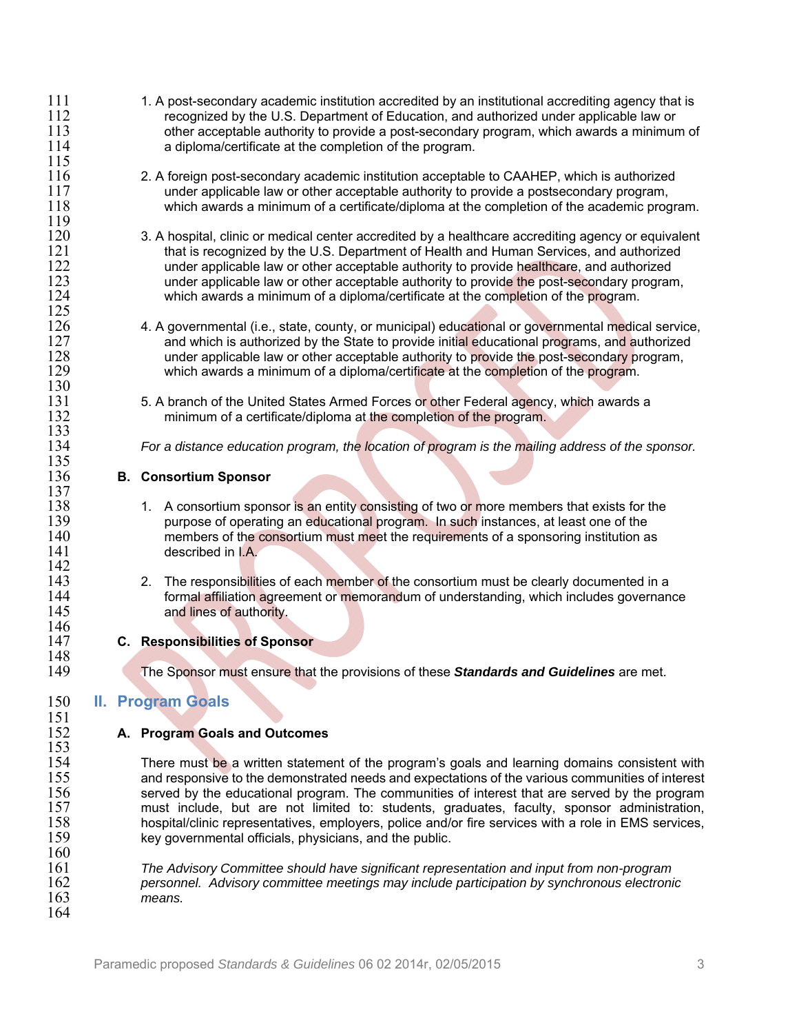- 1.1 1. A post-secondary academic institution accredited by an institutional accrediting agency that is<br>112 recognized by the U.S. Department of Education, and authorized under applicable law or 112 recognized by the U.S. Department of Education, and authorized under applicable law or<br>113 other acceptable authority to provide a post-secondary program, which awards a minimuri 113 other acceptable authority to provide a post-secondary program, which awards a minimum of 114 a diploma/certificate at the completion of the program. a diploma/certificate at the completion of the program. 115 116 2. A foreign post-secondary academic institution acceptable to CAAHEP, which is authorized<br>117 foreign under applicable law or other acceptable authority to provide a postsecondary program. 117 under applicable law or other acceptable authority to provide a postsecondary program,<br>118 which awards a minimum of a certificate/diploma at the completion of the academic proc which awards a minimum of a certificate/diploma at the completion of the academic program.  $\frac{119}{120}$ 120 3. A hospital, clinic or medical center accredited by a healthcare accrediting agency or equivalent 121 that is recognized by the U.S. Department of Health and Human Services, and authorized 121 that is recognized by the U.S. Department of Health and Human Services, and authorized<br>122 the under applicable law or other acceptable authority to provide healthcare, and authorized 122 under applicable law or other acceptable authority to provide healthcare, and authorized<br>123 under applicable law or other acceptable authority to provide the post-secondary progran 123 under applicable law or other acceptable authority to provide the post-secondary program,<br>124 which awards a minimum of a diploma/certificate at the completion of the program. which awards a minimum of a diploma/certificate at the completion of the program.  $\frac{125}{126}$ 126 4. A governmental (i.e., state, county, or municipal) educational or governmental medical service,<br>127 and which is authorized by the State to provide initial educational programs, and authorized 127 and which is authorized by the State to provide initial educational programs, and authorized<br>128 https://www.under.applicable.law.or.org/theracceptable.authority.to.provide.the.post-secondary.program. 128 under applicable law or other acceptable authority to provide the post-secondary program,<br>129 which awards a minimum of a diploma/certificate at the completion of the program. which awards a minimum of a diploma/certificate at the completion of the program.  $\frac{130}{131}$ 131 5. A branch of the United States Armed Forces or other Federal agency, which awards a<br>132 minimum of a certificate/diploma at the completion of the program. minimum of a certificate/diploma at the completion of the program.  $\frac{133}{134}$ 134 *For a distance education program, the location of program is the mailing address of the sponsor.*  135<br>136 136 **B. Consortium Sponsor**   $\frac{137}{138}$ 138 138 1. A consortium sponsor is an entity consisting of two or more members that exists for the purpose of operating an educational program. In such instances, at least one of the 139 **purpose of operating an educational program.** In such instances, at least one of the 140 members of the consortium must meet the requirements of a sponsoring institution a 140 members of the consortium must meet the requirements of a sponsoring institution as described in LA. described in I.A. 142<br>143 143 2. The responsibilities of each member of the consortium must be clearly documented in a<br>144 formal affiliation agreement or memorandum of understanding. which includes governance 144 **formal affiliation agreement or memorandum** of understanding, which includes governance and lines of authority. and lines of authority.  $\frac{146}{147}$ 147 **C. Responsibilities of Sponsor**  148<br>149 149 The Sponsor must ensure that the provisions of these *Standards and Guidelines* are met. 150 **II. Program Goals**   $\frac{151}{152}$ 152 **A. Program Goals and Outcomes**   $\frac{153}{154}$ 154 There must be a written statement of the program's goals and learning domains consistent with<br>155 and responsive to the demonstrated needs and expectations of the various communities of interest 155 and responsive to the demonstrated needs and expectations of the various communities of interest 156 served by the educational program. The communities of interest that are served by the program 156 served by the educational program. The communities of interest that are served by the program<br>157 must include, but are not limited to: students, graduates, faculty, sponsor administration, 157 must include, but are not limited to: students, graduates, faculty, sponsor administration,<br>158 hospital/clinic representatives employers police and/or fire services with a role in EMS services. hospital/clinic representatives, employers, police and/or fire services with a role in EMS services, 159 key governmental officials, physicians, and the public.  $\frac{160}{161}$ 161 *The Advisory Committee should have significant representation and input from non-program*  162 *personnel. Advisory committee meetings may include participation by synchronous electronic*  means.
- 164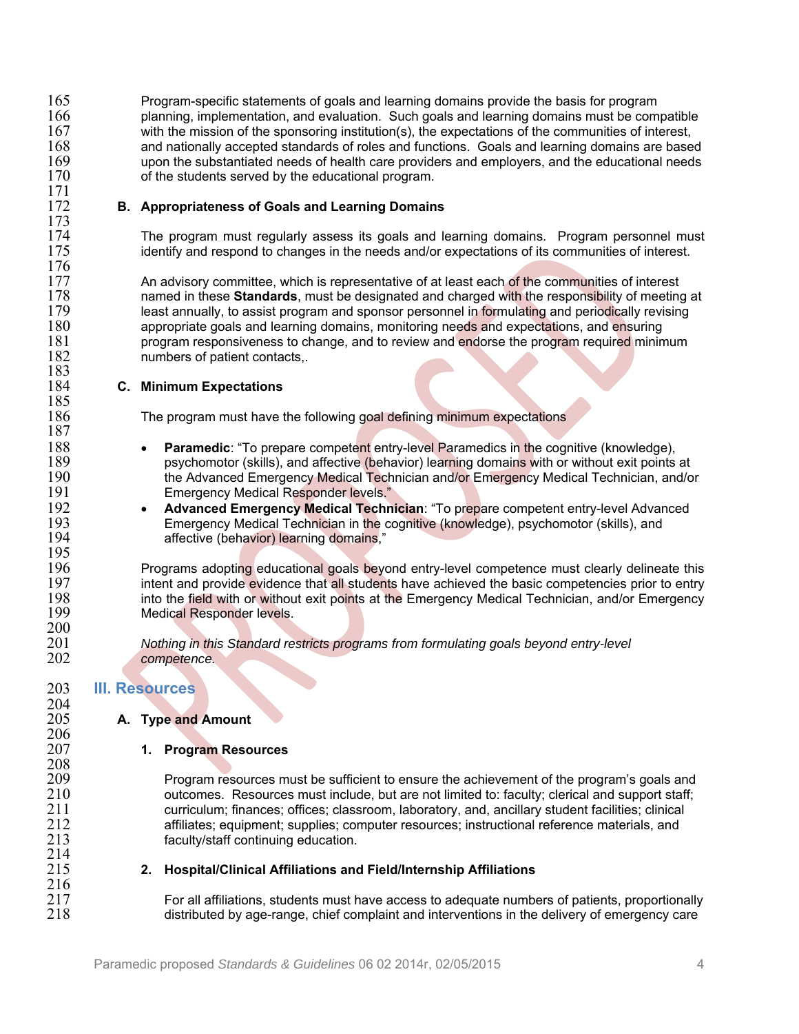165 Program-specific statements of goals and learning domains provide the basis for program<br>166 http://www.planning.implementation. and evaluation. Such goals and learning domains must be com 166 planning, implementation, and evaluation. Such goals and learning domains must be compatible 167<br>167 with the mission of the sponsoring institution(s), the expectations of the communities of interest. 167 with the mission of the sponsoring institution(s), the expectations of the communities of interest, 168 and nationally accepted standards of roles and functions. Goals and learning domains are based<br>169 https upon the substantiated needs of health care providers and employers, and the educational needs 169 upon the substantiated needs of health care providers and employers, and the educational needs 170 of the students served by the educational program.

#### **B. Appropriateness of Goals and Learning Domains**

174 The program must regularly assess its goals and learning domains. Program personnel must 175 interest. identify and respond to changes in the needs and/or expectations of its communities of interest.

177 An advisory committee, which is representative of at least each of the communities of interest 178 and and charged with the responsibility of meeting 178 178 **named in these Standards**, must be designated and charged with the responsibility of meeting at 179 and the responsibility of meeting at 179 and the responsibility of meeting at 179 and the responsibility revising 179 least annually, to assist program and sponsor personnel in formulating and periodically revising<br>180 **studies appropriate goals and learning domains**, monitoring needs and expectations, and ensuring 180 appropriate goals and learning domains, monitoring needs and expectations, and ensuring<br>181 http://www.program.com/state/state/state/state/state/state/state/space/state/space/state/space/state/minin 181 program responsiveness to change, and to review and endorse the program required minimum<br>182 http://www.mumbers.or/patient.contacts.. numbers of patient contacts,.

#### 184 **C. Minimum Expectations**

The program must have the following goal defining minimum expectations

- **188 <b>Paramedic**: "To prepare competent entry-level Paramedics in the cognitive (knowledge),<br>189 https://www.paramedictive.org/state/tive/delaytion/learning domains with or without exit points 189 psychomotor (skills), and affective (behavior) learning domains with or without exit points at the Advanced Emergency Medical Technician, and/o<br>190 190 the Advanced Emergency Medical Technician and/or Emergency Medical Technician, and/or **Emergency Medical Responder levels."**
- 192  **Advanced Emergency Medical Technician**: "To prepare competent entry-level Advanced<br>193 **Emergency Medical Technician in the cognitive (knowledge), psychomotor (skills), and** 193 Emergency Medical Technician in the cognitive (knowledge), psychomotor (skills), and<br>194 **Emergency Contantists** (behavior) learning domains." affective (behavior) learning domains,"

196 Programs adopting educational goals beyond entry-level competence must clearly delineate this<br>197 http://www.intent and provide evidence that all students have achieved the basic competencies prior to entry 197 intent and provide evidence that all students have achieved the basic competencies prior to entry<br>198 into the field with or without exit points at the Emergency Medical Technician, and/or Emergency 198 into the field with or without exit points at the Emergency Medical Technician, and/or Emergency<br>199 Medical Responder levels. Medical Responder levels.

201 *Nothing in this Standard restricts programs from formulating goals beyond entry-level*  competence.

## 203 **III. Resources**

171<br>172

173<br>174

 $\frac{176}{177}$ 

183<br>184

185<br>186

187

195<br>196

 $\frac{200}{201}$ 

204<br>205

 $\frac{206}{207}$ 

208<br>209

 $^{214}_{215}$ 

 $\frac{216}{217}$ 

## **A. Type and Amount**

#### 207 **1. Program Resources**

209 Program resources must be sufficient to ensure the achievement of the program's goals and<br>210 outcomes. Resources must include, but are not limited to: faculty: clerical and support staff: 210 outcomes. Resources must include, but are not limited to: faculty; clerical and support staff;<br>211 curriculum: finances: offices: classroom. laboratory. and. ancillary student facilities: clinical 211 curriculum; finances; offices; classroom, laboratory, and, ancillary student facilities; clinical 212 affiliates; equipment; supplies; computer resources; instructional reference materials, and<br>213 faculty/staff continuing education. faculty/staff continuing education.

#### 215 **2. Hospital/Clinical Affiliations and Field/Internship Affiliations**

217 For all affiliations, students must have access to adequate numbers of patients, proportionally<br>218 fistributed by age-range, chief complaint and interventions in the delivery of emergency care distributed by age-range, chief complaint and interventions in the delivery of emergency care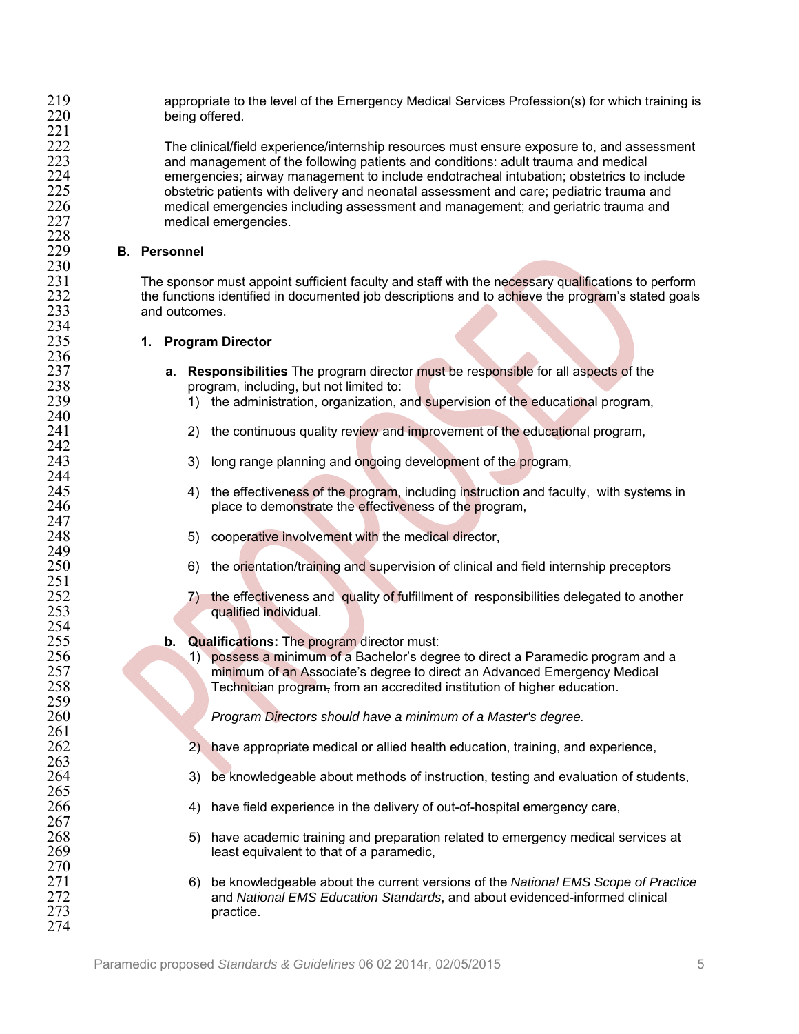219 appropriate to the level of the Emergency Medical Services Profession(s) for which training is<br>220 being offered. being offered.

222 The clinical/field experience/internship resources must ensure exposure to, and assessment<br>223 and management of the following patients and conditions: adult trauma and medical 223 and management of the following patients and conditions: adult trauma and medical<br>224 emergencies: airway management to include endotracheal intubation: obstetrics to ir 224 emergencies; airway management to include endotracheal intubation; obstetrics to include<br>225 obstetric patients with delivery and neonatal assessment and care; pediatric trauma and 225 obstetric patients with delivery and neonatal assessment and care; pediatric trauma and<br>226 medical emergencies including assessment and management; and geriatric trauma and 226 medical emergencies including assessment and management; and geriatric trauma and<br>227 medical emergencies. medical emergencies.

#### **B.** Personnel

 $^{221}_{222}$ 

228

230<br>231

234<br>235

236<br>237

240<br>241

 $\frac{242}{243}$ 

244<br>245

247<br>248

249<br>250

251<br>252

254<br>255

259<br>260

261<br>262

 $\frac{263}{264}$ 

 $\frac{265}{266}$ 

 $\frac{267}{268}$ 

 $\frac{270}{271}$ 

274

231 The sponsor must appoint sufficient faculty and staff with the necessary qualifications to perform<br>232 the functions identified in documented job descriptions and to achieve the program's stated goals 232 the functions identified in documented job descriptions and to achieve the program's stated goals<br>233 and outcomes. and outcomes.

#### **1. Program Director**

- 237 **a. Responsibilities** The program director must be responsible for all aspects of the 238 program, including, but not limited to:<br>239 1) the administration, organization, a
	- 1) the administration, organization, and supervision of the educational program,
	- 2) the continuous quality review and improvement of the educational program,
	- 3) long range planning and ongoing development of the program,
- 245 4) the effectiveness of the program, including instruction and faculty, with systems in<br>246 5 246 blace to demonstrate the effectiveness of the program. place to demonstrate the effectiveness of the program,
	- 5) cooperative involvement with the medical director,
	- 6) the orientation/training and supervision of clinical and field internship preceptors
- 252 7) the effectiveness and quality of fulfillment of responsibilities delegated to another qualified individual. qualified individual.
- 255 **b. Qualifications:** The program director must:<br>256 **b.** Qualifications: The program director must:
- 256 1) possess a minimum of a Bachelor's degree to direct a Paramedic program and a<br>257 minimum of an Associate's degree to direct an Advanced Emergency Medical 257 minimum of an Associate's degree to direct an Advanced Emergency Medical<br>258 Technician program, from an accredited institution of higher education. Technician program, from an accredited institution of higher education.

260 *Program Directors should have a minimum of a Master's degree.* 

- 2) have appropriate medical or allied health education, training, and experience,
- 3) be knowledgeable about methods of instruction, testing and evaluation of students,
- 4) have field experience in the delivery of out-of-hospital emergency care,
- 268 5) have academic training and preparation related to emergency medical services at 269 least equivalent to that of a paramedic,
- 271 6) be knowledgeable about the current versions of the *National EMS Scope of Practice* 272 and *National EMS Education Standards*, and about evidenced-informed clinical practice.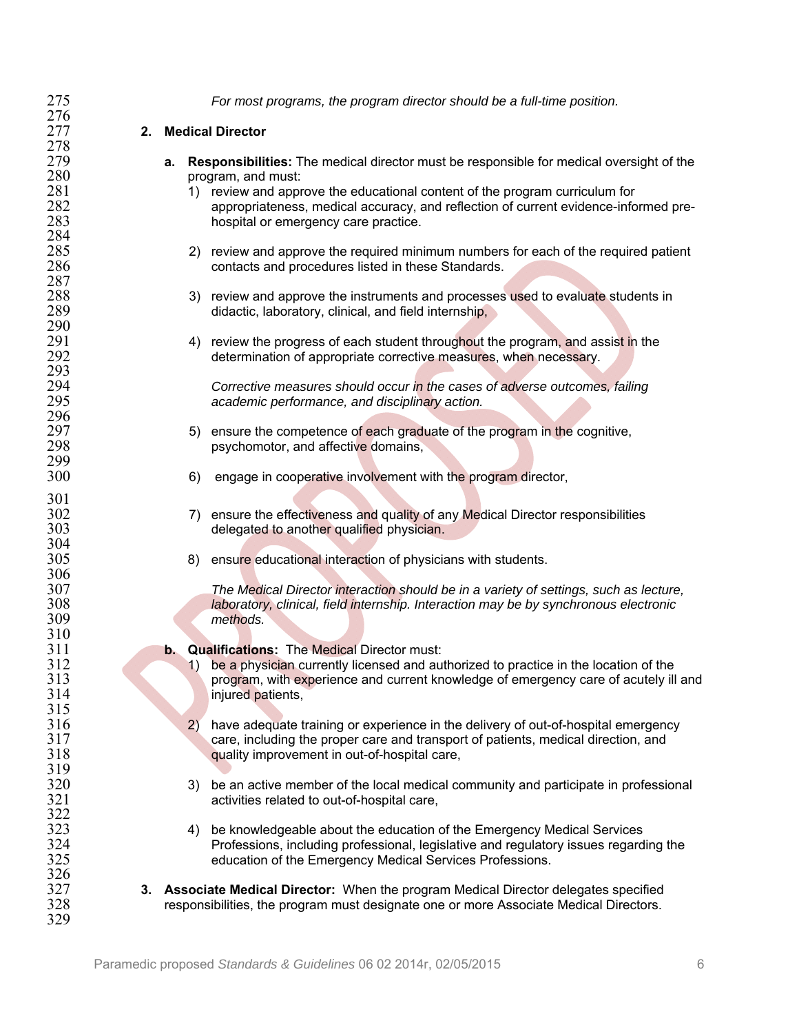| 275 |    |    | For most programs, the program director should be a full-time position.                                                               |
|-----|----|----|---------------------------------------------------------------------------------------------------------------------------------------|
| 276 |    |    |                                                                                                                                       |
| 277 | 2. |    | <b>Medical Director</b>                                                                                                               |
| 278 |    |    |                                                                                                                                       |
| 279 |    | а. | <b>Responsibilities:</b> The medical director must be responsible for medical oversight of the                                        |
| 280 |    |    | program, and must:                                                                                                                    |
| 281 |    |    | review and approve the educational content of the program curriculum for<br>1)                                                        |
| 282 |    |    | appropriateness, medical accuracy, and reflection of current evidence-informed pre-                                                   |
| 283 |    |    | hospital or emergency care practice.                                                                                                  |
| 284 |    |    |                                                                                                                                       |
| 285 |    |    | 2) review and approve the required minimum numbers for each of the required patient                                                   |
| 286 |    |    | contacts and procedures listed in these Standards.                                                                                    |
| 287 |    |    |                                                                                                                                       |
| 288 |    |    | 3) review and approve the instruments and processes used to evaluate students in                                                      |
| 289 |    |    | didactic, laboratory, clinical, and field internship,                                                                                 |
| 290 |    |    |                                                                                                                                       |
| 291 |    |    | 4) review the progress of each student throughout the program, and assist in the                                                      |
| 292 |    |    | determination of appropriate corrective measures, when necessary.                                                                     |
| 293 |    |    |                                                                                                                                       |
| 294 |    |    | Corrective measures should occur in the cases of adverse outcomes, failing                                                            |
| 295 |    |    | academic performance, and disciplinary action.                                                                                        |
| 296 |    |    |                                                                                                                                       |
| 297 |    |    | ensure the competence of each graduate of the program in the cognitive,<br>5)                                                         |
| 298 |    |    | psychomotor, and affective domains,                                                                                                   |
| 299 |    |    |                                                                                                                                       |
| 300 |    |    | engage in cooperative involvement with the program director,<br>6)                                                                    |
|     |    |    |                                                                                                                                       |
| 301 |    |    |                                                                                                                                       |
| 302 |    |    | 7) ensure the effectiveness and quality of any Medical Director responsibilities                                                      |
| 303 |    |    | delegated to another qualified physician.                                                                                             |
| 304 |    |    |                                                                                                                                       |
| 305 |    |    | ensure educational interaction of physicians with students.<br>8)                                                                     |
| 306 |    |    |                                                                                                                                       |
| 307 |    |    | The Medical Director interaction should be in a variety of settings, such as lecture,                                                 |
| 308 |    |    | laboratory, clinical, field internship. Interaction may be by synchronous electronic                                                  |
| 309 |    |    | methods.                                                                                                                              |
| 310 |    |    |                                                                                                                                       |
| 311 |    | b. | <b>Qualifications:</b> The Medical Director must:                                                                                     |
| 312 |    |    | be a physician currently licensed and authorized to practice in the location of the<br>$\left( \begin{matrix} 1 \end{matrix} \right)$ |
| 313 |    |    | program, with experience and current knowledge of emergency care of acutely ill and                                                   |
| 314 |    |    | injured patients,                                                                                                                     |
| 315 |    |    |                                                                                                                                       |
| 316 |    |    | 2)<br>have adequate training or experience in the delivery of out-of-hospital emergency                                               |
| 317 |    |    | care, including the proper care and transport of patients, medical direction, and                                                     |
| 318 |    |    | quality improvement in out-of-hospital care,                                                                                          |
| 319 |    |    |                                                                                                                                       |
| 320 |    |    | be an active member of the local medical community and participate in professional<br>3)                                              |
| 321 |    |    | activities related to out-of-hospital care,                                                                                           |
| 322 |    |    |                                                                                                                                       |
| 323 |    |    | be knowledgeable about the education of the Emergency Medical Services<br>4)                                                          |
| 324 |    |    | Professions, including professional, legislative and regulatory issues regarding the                                                  |
| 325 |    |    | education of the Emergency Medical Services Professions.                                                                              |
| 326 |    |    |                                                                                                                                       |
| 327 |    |    | 3. Associate Medical Director: When the program Medical Director delegates specified                                                  |
| 328 |    |    | responsibilities, the program must designate one or more Associate Medical Directors.                                                 |
| 329 |    |    |                                                                                                                                       |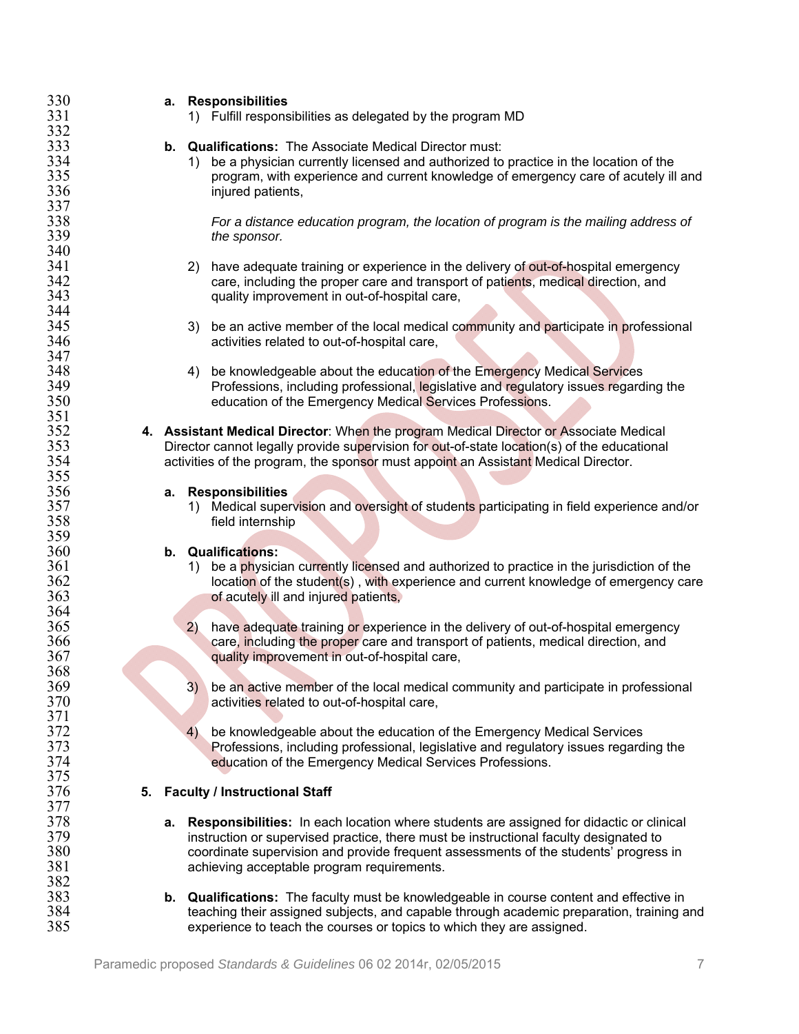| 330 | a. Responsibilities                                                                                                                      |
|-----|------------------------------------------------------------------------------------------------------------------------------------------|
| 331 | 1) Fulfill responsibilities as delegated by the program MD                                                                               |
| 332 |                                                                                                                                          |
| 333 | <b>b.</b> Qualifications: The Associate Medical Director must:                                                                           |
| 334 | be a physician currently licensed and authorized to practice in the location of the<br>1)                                                |
| 335 | program, with experience and current knowledge of emergency care of acutely ill and                                                      |
| 336 | injured patients,                                                                                                                        |
| 337 |                                                                                                                                          |
| 338 | For a distance education program, the location of program is the mailing address of                                                      |
| 339 | the sponsor.                                                                                                                             |
| 340 |                                                                                                                                          |
| 341 | have adequate training or experience in the delivery of out-of-hospital emergency<br>2)                                                  |
| 342 | care, including the proper care and transport of patients, medical direction, and                                                        |
| 343 | quality improvement in out-of-hospital care,                                                                                             |
| 344 |                                                                                                                                          |
| 345 | be an active member of the local medical community and participate in professional<br>3)                                                 |
| 346 | activities related to out-of-hospital care,                                                                                              |
| 347 |                                                                                                                                          |
| 348 | be knowledgeable about the education of the Emergency Medical Services<br>4)                                                             |
| 349 | Professions, including professional, legislative and regulatory issues regarding the                                                     |
| 350 | education of the Emergency Medical Services Professions.                                                                                 |
| 351 |                                                                                                                                          |
| 352 | 4. Assistant Medical Director: When the program Medical Director or Associate Medical                                                    |
| 353 | Director cannot legally provide supervision for out-of-state location(s) of the educational                                              |
| 354 | activities of the program, the sponsor must appoint an Assistant Medical Director.                                                       |
| 355 |                                                                                                                                          |
| 356 | a. Responsibilities                                                                                                                      |
| 357 | Medical supervision and oversight of students participating in field experience and/or<br>$\left( \begin{matrix} 1 \end{matrix} \right)$ |
| 358 | field internship                                                                                                                         |
| 359 |                                                                                                                                          |
| 360 | b. Qualifications:                                                                                                                       |
| 361 | be a physician currently licensed and authorized to practice in the jurisdiction of the<br>1)                                            |
| 362 | location of the student(s), with experience and current knowledge of emergency care                                                      |
| 363 | of acutely ill and injured patients,                                                                                                     |
| 364 |                                                                                                                                          |
| 365 | 2)<br>have adequate training or experience in the delivery of out-of-hospital emergency                                                  |
| 366 | care, including the proper care and transport of patients, medical direction, and                                                        |
| 367 | quality improvement in out-of-hospital care,                                                                                             |
| 368 |                                                                                                                                          |
| 369 | 3)<br>be an active member of the local medical community and participate in professional                                                 |
| 370 | activities related to out-of-hospital care,                                                                                              |
| 371 |                                                                                                                                          |
| 372 | be knowledgeable about the education of the Emergency Medical Services<br>4)                                                             |
| 373 | Professions, including professional, legislative and regulatory issues regarding the                                                     |
| 374 | education of the Emergency Medical Services Professions.                                                                                 |
| 375 |                                                                                                                                          |
| 376 | 5. Faculty / Instructional Staff                                                                                                         |
| 377 |                                                                                                                                          |
| 378 | a. Responsibilities: In each location where students are assigned for didactic or clinical                                               |
| 379 | instruction or supervised practice, there must be instructional faculty designated to                                                    |
| 380 | coordinate supervision and provide frequent assessments of the students' progress in                                                     |
| 381 | achieving acceptable program requirements.                                                                                               |
| 382 |                                                                                                                                          |
| 383 | <b>b.</b> Qualifications: The faculty must be knowledgeable in course content and effective in                                           |
| 384 | teaching their assigned subjects, and capable through academic preparation, training and                                                 |
| 385 | experience to teach the courses or topics to which they are assigned.                                                                    |
|     |                                                                                                                                          |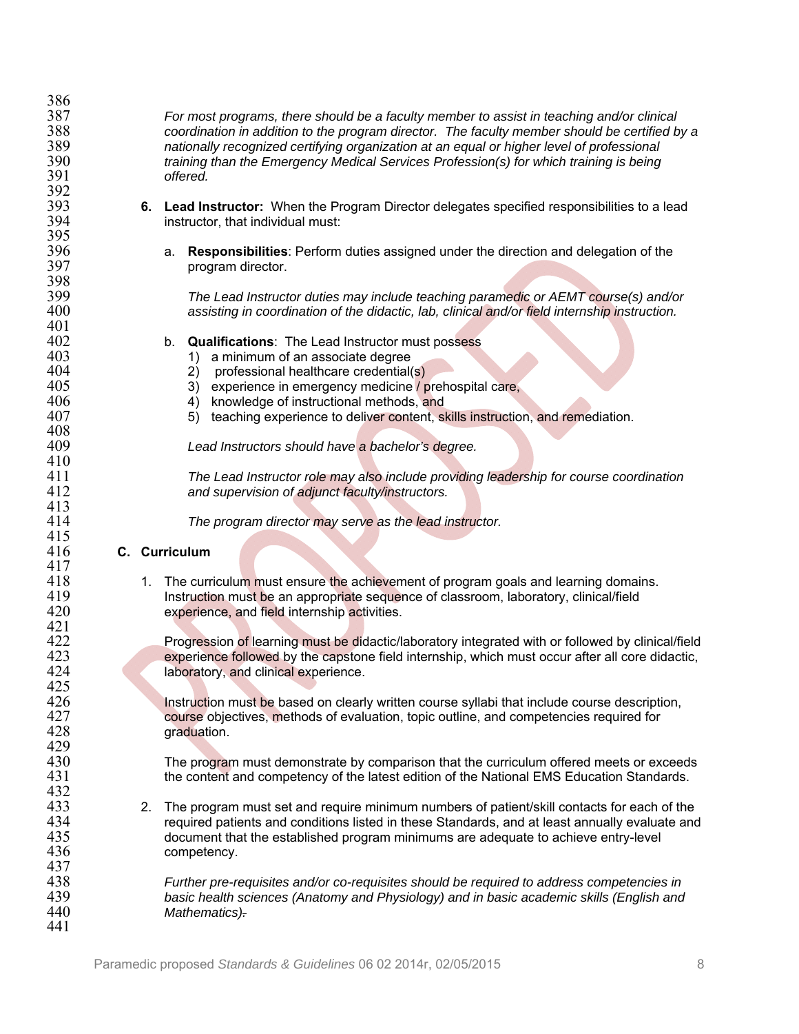| 387 | For most programs, there should be a faculty member to assist in teaching and/or clinical         |
|-----|---------------------------------------------------------------------------------------------------|
| 388 | coordination in addition to the program director. The faculty member should be certified by a     |
| 389 | nationally recognized certifying organization at an equal or higher level of professional         |
| 390 | training than the Emergency Medical Services Profession(s) for which training is being            |
| 391 | offered.                                                                                          |
| 392 |                                                                                                   |
| 393 | Lead Instructor: When the Program Director delegates specified responsibilities to a lead<br>6.   |
| 394 | instructor, that individual must:                                                                 |
| 395 |                                                                                                   |
| 396 | Responsibilities: Perform duties assigned under the direction and delegation of the<br>a.         |
| 397 | program director.                                                                                 |
| 398 |                                                                                                   |
| 399 | The Lead Instructor duties may include teaching paramedic or AEMT course(s) and/or                |
| 400 | assisting in coordination of the didactic, lab, clinical and/or field internship instruction.     |
| 401 |                                                                                                   |
| 402 | <b>Qualifications:</b> The Lead Instructor must possess<br>b.                                     |
| 403 | 1) a minimum of an associate degree                                                               |
| 404 | professional healthcare credential(s)<br>(2)                                                      |
| 405 | 3) experience in emergency medicine / prehospital care,                                           |
| 406 | 4) knowledge of instructional methods, and                                                        |
| 407 | teaching experience to deliver content, skills instruction, and remediation.<br>5)                |
| 408 |                                                                                                   |
| 409 | Lead Instructors should have a bachelor's degree.                                                 |
| 410 |                                                                                                   |
| 411 | The Lead Instructor role may also include providing leadership for course coordination            |
| 412 |                                                                                                   |
| 413 | and supervision of adjunct faculty/instructors.                                                   |
| 414 |                                                                                                   |
| 415 | The program director may serve as the lead instructor.                                            |
|     |                                                                                                   |
|     |                                                                                                   |
| 416 | C. Curriculum                                                                                     |
| 417 |                                                                                                   |
| 418 | 1. The curriculum must ensure the achievement of program goals and learning domains.              |
| 419 | Instruction must be an appropriate sequence of classroom, laboratory, clinical/field              |
| 420 | experience, and field internship activities.                                                      |
| 421 |                                                                                                   |
| 422 | Progression of learning must be didactic/laboratory integrated with or followed by clinical/field |
| 423 | experience followed by the capstone field internship, which must occur after all core didactic,   |
| 424 | laboratory, and clinical experience.                                                              |
| 425 |                                                                                                   |
| 426 | Instruction must be based on clearly written course syllabi that include course description,      |
| 427 | course objectives, methods of evaluation, topic outline, and competencies required for            |
| 428 | graduation.                                                                                       |
| 429 |                                                                                                   |
| 430 | The program must demonstrate by comparison that the curriculum offered meets or exceeds           |
| 431 | the content and competency of the latest edition of the National EMS Education Standards.         |
| 432 |                                                                                                   |
| 433 | The program must set and require minimum numbers of patient/skill contacts for each of the<br>2.  |
| 434 | required patients and conditions listed in these Standards, and at least annually evaluate and    |
| 435 | document that the established program minimums are adequate to achieve entry-level                |
| 436 | competency.                                                                                       |
| 437 |                                                                                                   |
| 438 | Further pre-requisites and/or co-requisites should be required to address competencies in         |
| 439 | basic health sciences (Anatomy and Physiology) and in basic academic skills (English and          |
| 440 | Mathematics).                                                                                     |
| 441 |                                                                                                   |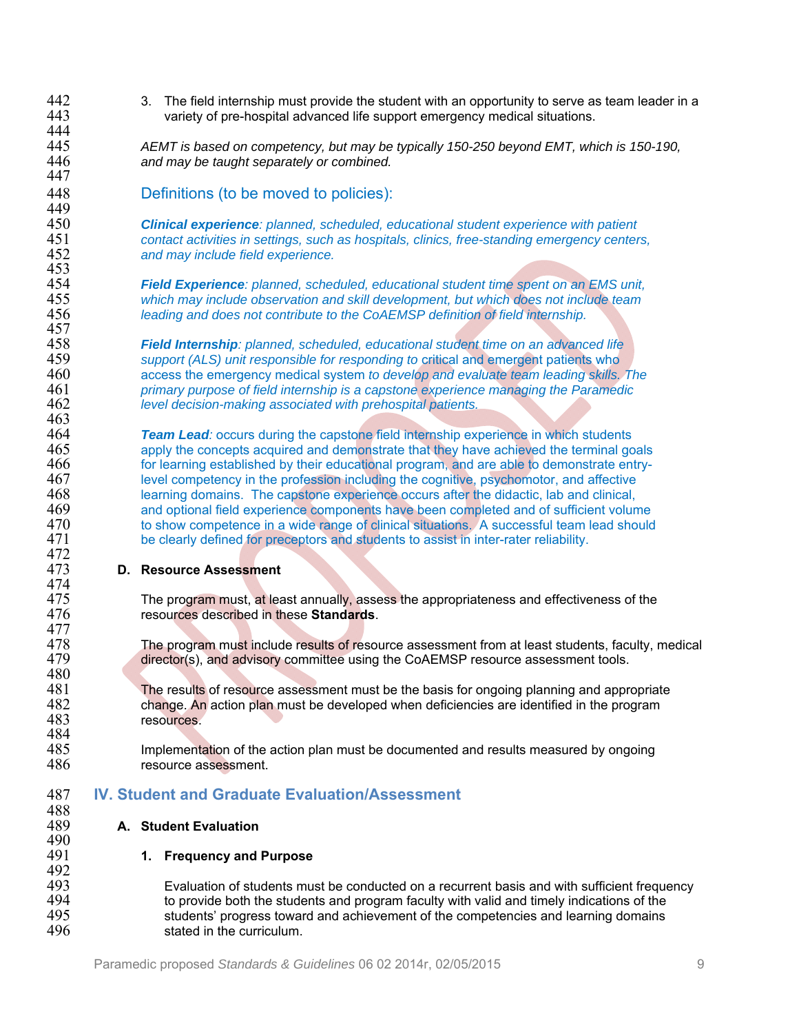- 442 3. The field internship must provide the student with an opportunity to serve as team leader in a<br>443 variety of pre-hospital advanced life support emergency medical situations. variety of pre-hospital advanced life support emergency medical situations. 444<br>445 445 *AEMT is based on competency, but may be typically 150-250 beyond EMT, which is 150-190,*  and may be taught separately or combined. 447 448 Definitions (to be moved to policies): 449<br>450 450 *Clinical experience: planned, scheduled, educational student experience with patient*  451 *contact activities in settings, such as hospitals, clinics, free-standing emergency centers,*  and may include field experience. 453<br>454 454 *Field Experience: planned, scheduled, educational student time spent on an EMS unit,*  455 *which may include observation and skill development, but which does not include team*  456 *leading and does not contribute to the CoAEMSP definition of field internship.*  457<br>458 458 *Field Internship: planned, scheduled, educational student time on an advanced life*  459 *support (ALS) unit responsible for responding to* critical and emergent patients who 460 access the emergency medical system *to develop and evaluate team leading skills. The*  461 *primary purpose of field internship is a capstone experience managing the Paramedic*  level decision-making associated with prehospital patients. 463<br>464 464 *Team Lead:* occurs during the capstone field internship experience in which students 465 apply the concepts acquired and demonstrate that they have achieved the terminal goals<br>466 for learning established by their educational program, and are able to demonstrate entryfor learning established by their educational program, and are able to demonstrate entry-467 level competency in the profession including the cognitive, psychomotor, and affective<br>468 learning domains. The capstone experience occurs after the didactic, lab and clinical, 468 learning domains. The capstone experience occurs after the didactic, lab and clinical,<br>469 and optional field experience components have been completed and of sufficient volunt 469 and optional field experience components have been completed and of sufficient volume<br>470 to show competence in a wide range of clinical situations. A successful team lead should 470 to show competence in a wide range of clinical situations. A successful team lead should<br>471 be clearly defined for preceptors and students to assist in inter-rater reliability. be clearly defined for preceptors and students to assist in inter-rater reliability. 472<br>473 473 **D. Resource Assessment**  474<br>475 475 The program must, at least annually, assess the appropriateness and effectiveness of the 476 creativeness of the 476 476 resources described in these **Standards**. 477<br>478 478 The program must include results of resource assessment from at least students, faculty, medical<br>479 director(s), and advisory committee using the CoAEMSP resource assessment tools. director(s), and advisory committee using the CoAEMSP resource assessment tools. 480<br>481 481 The results of resource assessment must be the basis for ongoing planning and appropriate 482 change. An action plan must be developed when deficiencies are identified in the program 482 change. An action plan must be developed when deficiencies are identified in the program<br>483 resources. resources. 484<br>485 485 Implementation of the action plan must be documented and results measured by ongoing<br>486 **Interpret assessment**. resource assessment. 487 **IV. Student and Graduate Evaluation/Assessment**  488<br>489 489 **A. Student Evaluation**  490<br>491 491 **1. Frequency and Purpose**
- 492<br>493 493 Evaluation of students must be conducted on a recurrent basis and with sufficient frequency<br>494 fo provide both the students and program faculty with valid and timely indications of the 494 to provide both the students and program faculty with valid and timely indications of the<br>495 students' progress toward and achievement of the competencies and learning domains 495 students' progress toward and achievement of the competencies and learning domains<br>496 stated in the curriculum. stated in the curriculum.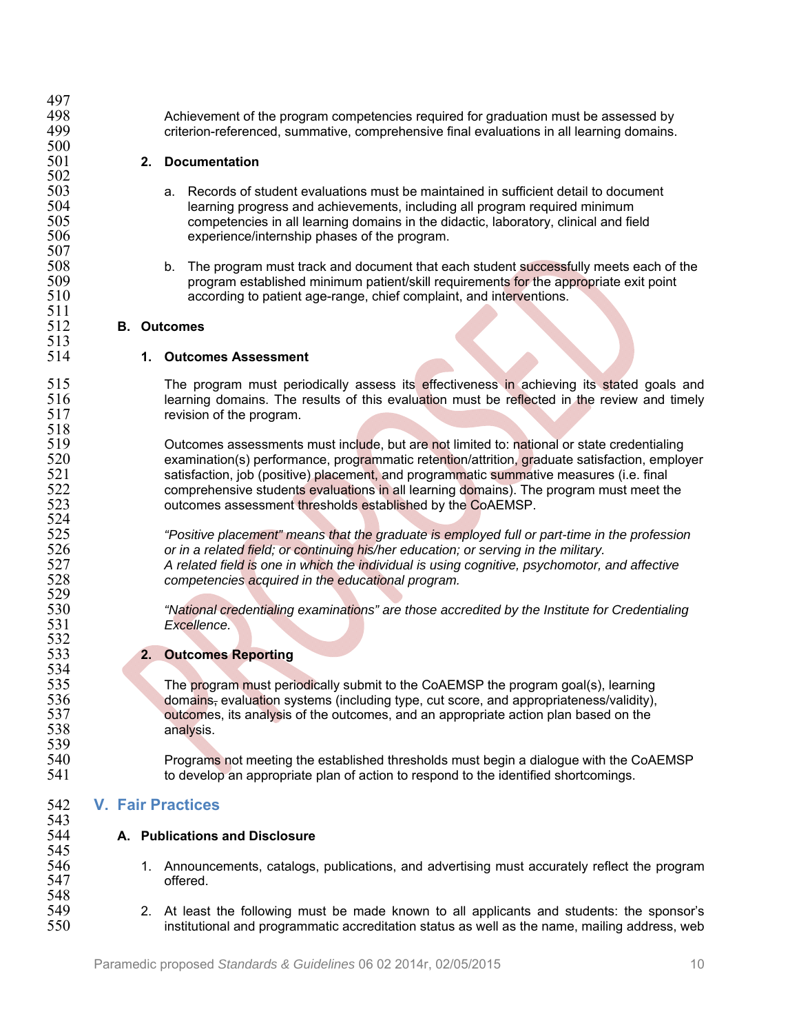| 497 |    |                                                                                               |
|-----|----|-----------------------------------------------------------------------------------------------|
| 498 |    | Achievement of the program competencies required for graduation must be assessed by           |
| 499 |    | criterion-referenced, summative, comprehensive final evaluations in all learning domains.     |
| 500 |    |                                                                                               |
| 501 | 2. | <b>Documentation</b>                                                                          |
| 502 |    |                                                                                               |
| 503 |    | Records of student evaluations must be maintained in sufficient detail to document<br>a.      |
| 504 |    | learning progress and achievements, including all program required minimum                    |
| 505 |    | competencies in all learning domains in the didactic, laboratory, clinical and field          |
| 506 |    | experience/internship phases of the program.                                                  |
| 507 |    |                                                                                               |
| 508 |    | The program must track and document that each student successfully meets each of the<br>b.    |
| 509 |    | program established minimum patient/skill requirements for the appropriate exit point         |
| 510 |    | according to patient age-range, chief complaint, and interventions.                           |
| 511 |    |                                                                                               |
| 512 |    | <b>B.</b> Outcomes                                                                            |
| 513 |    |                                                                                               |
| 514 |    | 1. Outcomes Assessment                                                                        |
| 515 |    | The program must periodically assess its effectiveness in achieving its stated goals and      |
| 516 |    | learning domains. The results of this evaluation must be reflected in the review and timely   |
| 517 |    | revision of the program.                                                                      |
| 518 |    |                                                                                               |
| 519 |    | Outcomes assessments must include, but are not limited to: national or state credentialing    |
| 520 |    | examination(s) performance, programmatic retention/attrition, graduate satisfaction, employer |
| 521 |    | satisfaction, job (positive) placement, and programmatic summative measures (i.e. final       |
| 522 |    | comprehensive students evaluations in all learning domains). The program must meet the        |
| 523 |    | outcomes assessment thresholds established by the CoAEMSP.                                    |
| 524 |    |                                                                                               |
| 525 |    | "Positive placement" means that the graduate is employed full or part-time in the profession  |
| 526 |    | or in a related field; or continuing his/her education; or serving in the military.           |
| 527 |    | A related field is one in which the individual is using cognitive, psychomotor, and affective |
| 528 |    | competencies acquired in the educational program.                                             |
| 529 |    |                                                                                               |
| 530 |    | "National credentialing examinations" are those accredited by the Institute for Credentialing |
| 531 |    | Excellence.                                                                                   |
| 532 |    |                                                                                               |
| 533 |    | 2. Outcomes Reporting                                                                         |
| 534 |    |                                                                                               |
| 535 |    | The program must periodically submit to the CoAEMSP the program goal(s), learning             |
| 536 |    | domains, evaluation systems (including type, cut score, and appropriateness/validity),        |
| 537 |    | outcomes, its analysis of the outcomes, and an appropriate action plan based on the           |
| 538 |    | analysis.                                                                                     |
| 539 |    |                                                                                               |
| 540 |    | Programs not meeting the established thresholds must begin a dialogue with the CoAEMSP        |
| 541 |    | to develop an appropriate plan of action to respond to the identified shortcomings.           |
|     |    |                                                                                               |
| 542 |    | <b>V. Fair Practices</b>                                                                      |
| 543 |    |                                                                                               |
| 544 |    | A. Publications and Disclosure                                                                |
| 545 |    |                                                                                               |
| 546 |    | 1. Announcements, catalogs, publications, and advertising must accurately reflect the program |
| 547 |    | offered.                                                                                      |
| 548 |    |                                                                                               |
| 549 |    | 2. At least the following must be made known to all applicants and students: the sponsor's    |
| 550 |    | institutional and programmatic accreditation status as well as the name, mailing address, web |
|     |    |                                                                                               |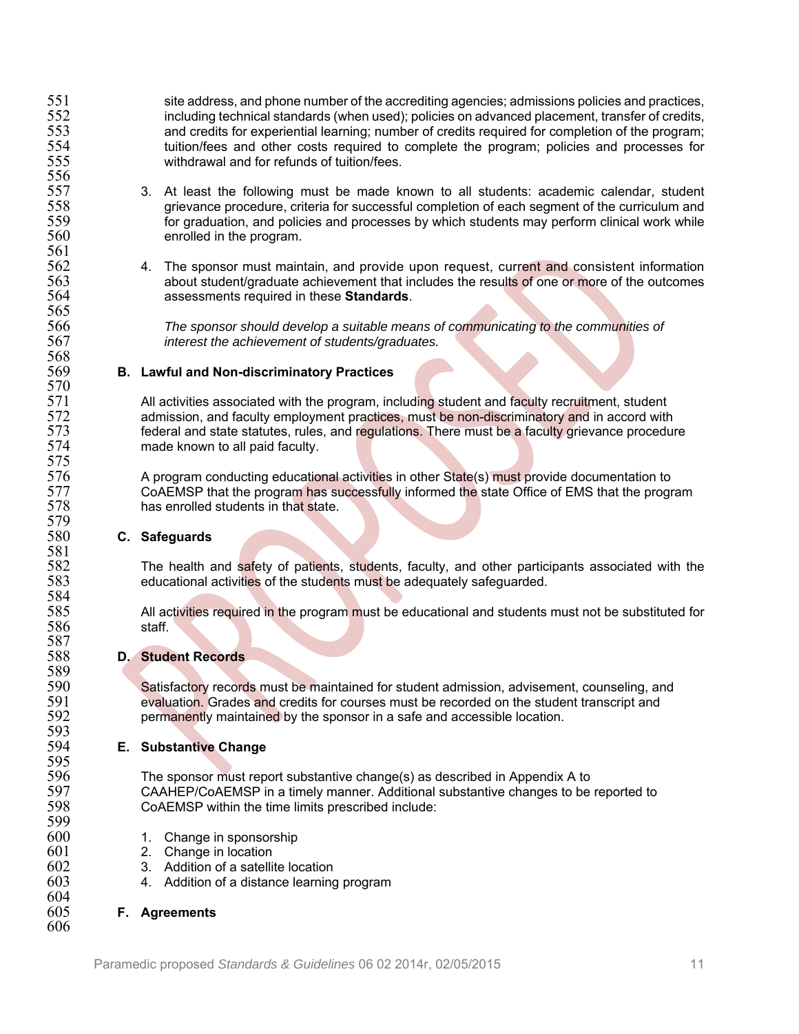551 site address, and phone number of the accrediting agencies; admissions policies and practices,<br>552 including technical standards (when used); policies on advanced placement, transfer of credits, 552 including technical standards (when used); policies on advanced placement, transfer of credits,<br>553 and credits for experiential learning: number of credits required for completion of the program: 553 and credits for experiential learning; number of credits required for completion of the program;<br>554 tuition/fees and other costs required to complete the program; policies and processes for 554 tuition/fees and other costs required to complete the program; policies and processes for<br>555 withdrawal and for refunds of tuition/fees. withdrawal and for refunds of tuition/fees.

- 557 3. At least the following must be made known to all students: academic calendar, student 558 558 558 grievance procedure, criteria for successful completion of each segment of the curriculum and<br>559 for graduation, and policies and processes by which students may perform clinical work while 559 for graduation, and policies and processes by which students may perform clinical work while<br>560 for an enrolled in the program. enrolled in the program.
- 562 4. The sponsor must maintain, and provide upon request, current and consistent information<br>563 about student/graduate achievement that includes the results of one or more of the outcomes 563 about student/graduate achievement that includes the results of one or more of the outcomes 564 564 assessments required in these **Standards**.

566 *The sponsor should develop a suitable means of communicating to the communities of*  interest the achievement of students/graduates.

#### 569 **B. Lawful and Non-discriminatory Practices**

571 All activities associated with the program, including student and faculty recruitment, student 572<br>572 and admission, and faculty employment practices, must be non-discriminatory and in accord with 572 admission, and faculty employment practices, must be non-discriminatory and in accord with<br>573 federal and state statutes, rules, and regulations. There must be a faculty grievance procedui 573 federal and state statutes, rules, and regulations. There must be a faculty grievance procedure<br>574 made known to all paid faculty. made known to all paid faculty.

576 A program conducting educational activities in other State(s) must provide documentation to<br>577 CoAEMSP that the program has successfully informed the state Office of EMS that the progr 577 CoAEMSP that the program has successfully informed the state Office of EMS that the program 578 has enrolled students in that state.

## 580 **C. Safeguards**

556<br>557

561<br>562

565<br>566

568<br>569

570<br>571

575<br>576

579<br>580

581<br>582

584<br>585

587<br>588

589<br>590

593<br>594

595<br>596

599

604<br>605

606

582 The health and safety of patients, students, faculty, and other participants associated with the 583 educational activities of the students must be adequately safeguarded.

585 All activities required in the program must be educational and students must not be substituted for staff.

## 588 **D. Student Records**

590 Satisfactory records must be maintained for student admission, advisement, counseling, and<br>591 evaluation. Grades and credits for courses must be recorded on the student transcript and 591 evaluation. Grades and credits for courses must be recorded on the student transcript and permanently maintained by the sponsor in a safe and accessible location.

## **E.** Substantive Change

596 The sponsor must report substantive change(s) as described in Appendix A to<br>597 CAAHEP/CoAEMSP in a timely manner. Additional substantive changes to be 597 CAAHEP/CoAEMSP in a timely manner. Additional substantive changes to be reported to 598 CoAEMSP within the time limits prescribed include:

- 1. Change in sponsorship
- 601 2. Change in location<br>602 3. Addition of a satellit
- 602 3. Addition of a satellite location<br>603 4. Addition of a distance learning
	- 4. Addition of a distance learning program

#### 605 **F. Agreements**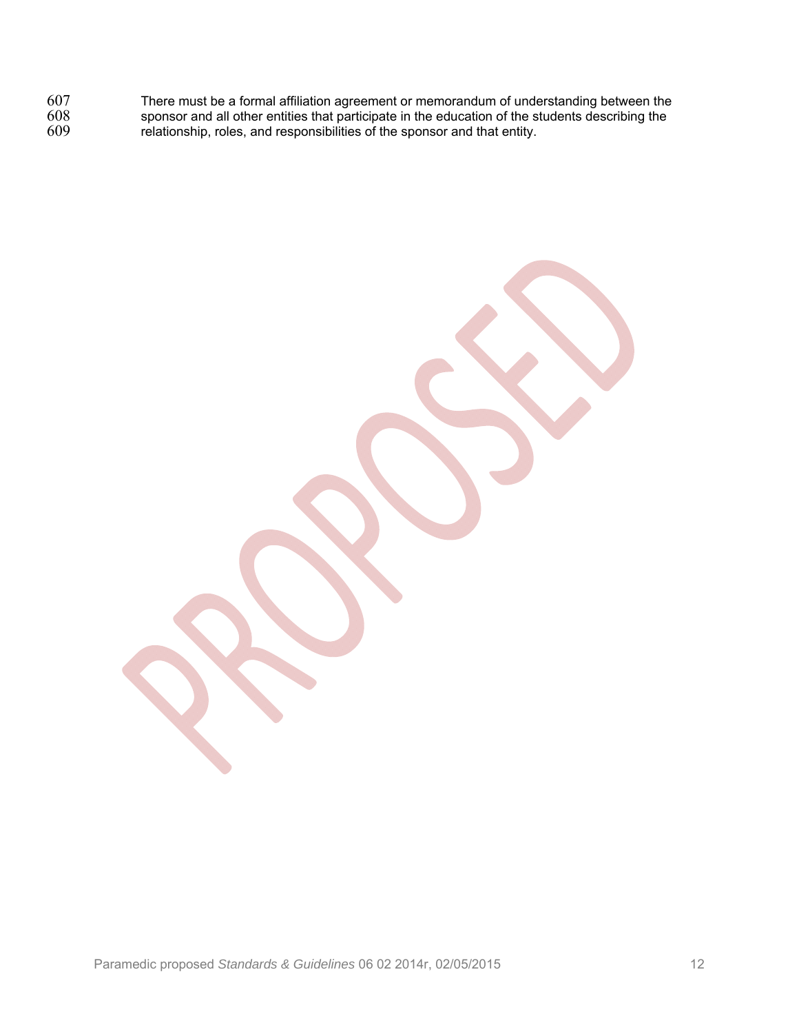There must be a formal affiliation agreement or memorandum of understanding between the sponsor and all other entities that participate in the education of the students describing the relationship, roles, and responsibilities of the sponsor and that entity.

Paramedic proposed *Standards & Guidelines* 06 02 2014r, 02/05/2015 12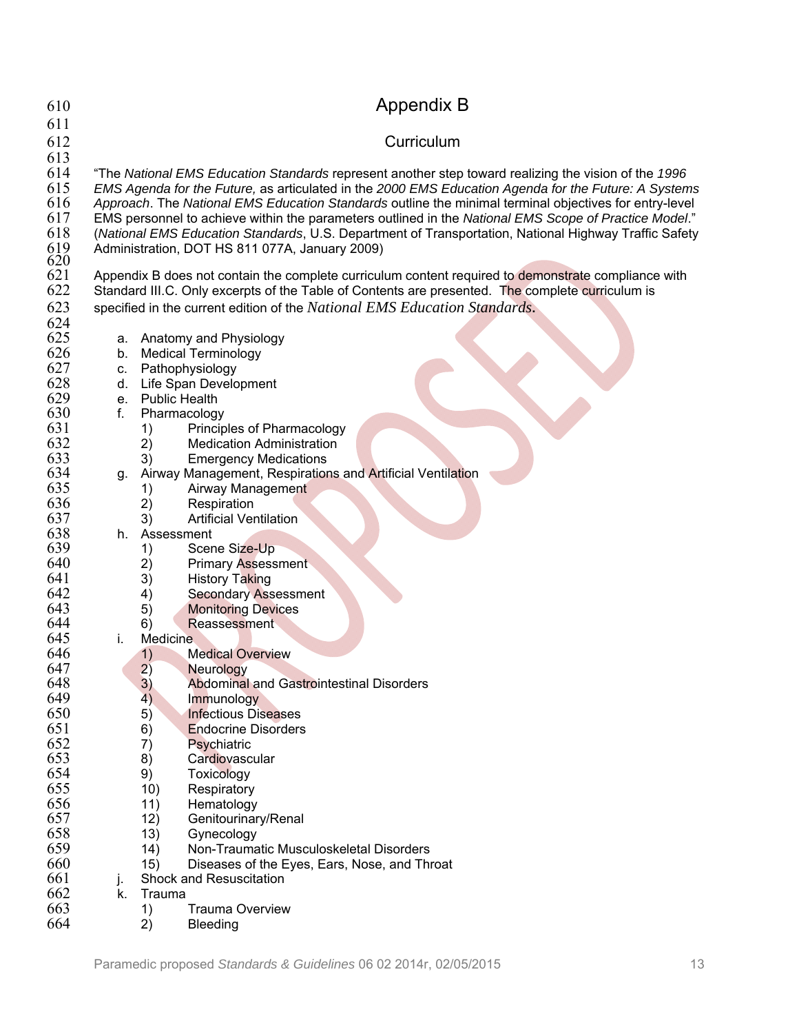| 610        |                                                                                                                                                                                                              |                  | <b>Appendix B</b>                                                                                      |  |  |
|------------|--------------------------------------------------------------------------------------------------------------------------------------------------------------------------------------------------------------|------------------|--------------------------------------------------------------------------------------------------------|--|--|
| 611<br>612 |                                                                                                                                                                                                              |                  | Curriculum                                                                                             |  |  |
| 613        |                                                                                                                                                                                                              |                  |                                                                                                        |  |  |
| 614<br>615 | "The National EMS Education Standards represent another step toward realizing the vision of the 1996<br>EMS Agenda for the Future, as articulated in the 2000 EMS Education Agenda for the Future: A Systems |                  |                                                                                                        |  |  |
| 616        |                                                                                                                                                                                                              |                  | Approach. The National EMS Education Standards outline the minimal terminal objectives for entry-level |  |  |
| 617        |                                                                                                                                                                                                              |                  | EMS personnel to achieve within the parameters outlined in the National EMS Scope of Practice Model."  |  |  |
| 618<br>619 |                                                                                                                                                                                                              |                  | (National EMS Education Standards, U.S. Department of Transportation, National Highway Traffic Safety  |  |  |
| 620        |                                                                                                                                                                                                              |                  | Administration, DOT HS 811 077A, January 2009)                                                         |  |  |
| 621        |                                                                                                                                                                                                              |                  | Appendix B does not contain the complete curriculum content required to demonstrate compliance with    |  |  |
| 622        |                                                                                                                                                                                                              |                  | Standard III.C. Only excerpts of the Table of Contents are presented. The complete curriculum is       |  |  |
| 623<br>624 |                                                                                                                                                                                                              |                  | specified in the current edition of the National EMS Education Standards.                              |  |  |
| 625        | a.                                                                                                                                                                                                           |                  | Anatomy and Physiology                                                                                 |  |  |
| 626        | b.                                                                                                                                                                                                           |                  | <b>Medical Terminology</b>                                                                             |  |  |
| 627        | C.                                                                                                                                                                                                           |                  | Pathophysiology                                                                                        |  |  |
| 628        | d.                                                                                                                                                                                                           |                  | Life Span Development                                                                                  |  |  |
| 629        |                                                                                                                                                                                                              | e. Public Health |                                                                                                        |  |  |
| 630<br>631 | f.                                                                                                                                                                                                           |                  | Pharmacology<br>Principles of Pharmacology                                                             |  |  |
| 632        |                                                                                                                                                                                                              | 1)<br>2)         | <b>Medication Administration</b>                                                                       |  |  |
| 633        |                                                                                                                                                                                                              | 3)               | <b>Emergency Medications</b>                                                                           |  |  |
| 634        | g.                                                                                                                                                                                                           |                  | Airway Management, Respirations and Artificial Ventilation                                             |  |  |
| 635        |                                                                                                                                                                                                              | 1)               | Airway Management                                                                                      |  |  |
| 636        |                                                                                                                                                                                                              | 2)               | Respiration                                                                                            |  |  |
| 637        |                                                                                                                                                                                                              | 3)               | <b>Artificial Ventilation</b>                                                                          |  |  |
| 638<br>639 | h.                                                                                                                                                                                                           | Assessment<br>1) | Scene Size-Up                                                                                          |  |  |
| 640        |                                                                                                                                                                                                              | 2)               | <b>Primary Assessment</b>                                                                              |  |  |
| 641        |                                                                                                                                                                                                              | 3)               | <b>History Taking</b>                                                                                  |  |  |
| 642        |                                                                                                                                                                                                              | 4)               | <b>Secondary Assessment</b>                                                                            |  |  |
| 643        |                                                                                                                                                                                                              | 5)               | <b>Monitoring Devices</b>                                                                              |  |  |
| 644        |                                                                                                                                                                                                              | 6)               | Reassessment                                                                                           |  |  |
| 645<br>646 | i.                                                                                                                                                                                                           | <b>Medicine</b>  | <b>Medical Overview</b>                                                                                |  |  |
| 647        |                                                                                                                                                                                                              | 1)<br>2)         | <b>Neurology</b>                                                                                       |  |  |
| 648        |                                                                                                                                                                                                              | 3)               | <b>Abdominal and Gastrointestinal Disorders</b>                                                        |  |  |
| 649        |                                                                                                                                                                                                              | 4)               | Immunology                                                                                             |  |  |
| 650        |                                                                                                                                                                                                              | 5)               | <b>Infectious Diseases</b>                                                                             |  |  |
| 651        |                                                                                                                                                                                                              | 6)               | <b>Endocrine Disorders</b>                                                                             |  |  |
| 652<br>653 |                                                                                                                                                                                                              | 7)               | Psychiatric                                                                                            |  |  |
| 654        |                                                                                                                                                                                                              | 8)<br>9)         | Cardiovascular<br>Toxicology                                                                           |  |  |
| 655        |                                                                                                                                                                                                              | 10)              | Respiratory                                                                                            |  |  |
| 656        |                                                                                                                                                                                                              | 11)              | Hematology                                                                                             |  |  |
| 657        |                                                                                                                                                                                                              | 12)              | Genitourinary/Renal                                                                                    |  |  |
| 658        |                                                                                                                                                                                                              | 13)              | Gynecology                                                                                             |  |  |
| 659        |                                                                                                                                                                                                              | 14)              | Non-Traumatic Musculoskeletal Disorders                                                                |  |  |
| 660<br>661 |                                                                                                                                                                                                              | 15)              | Diseases of the Eyes, Ears, Nose, and Throat<br><b>Shock and Resuscitation</b>                         |  |  |
| 662        | j.<br>k.                                                                                                                                                                                                     | Trauma           |                                                                                                        |  |  |
| 663        |                                                                                                                                                                                                              | 1)               | <b>Trauma Overview</b>                                                                                 |  |  |
| 664        |                                                                                                                                                                                                              | 2)               | <b>Bleeding</b>                                                                                        |  |  |